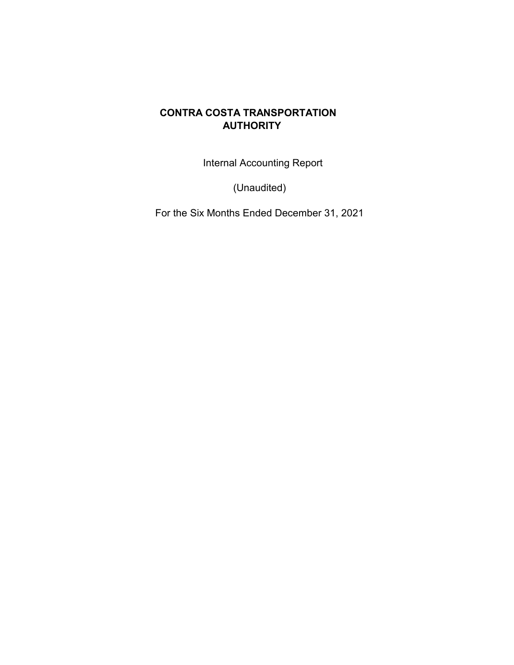Internal Accounting Report

(Unaudited)

For the Six Months Ended December 31, 2021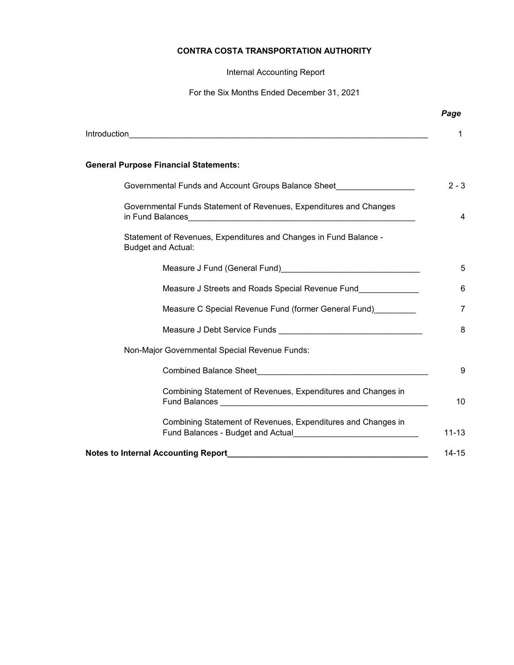Internal Accounting Report

For the Six Months Ended December 31, 2021

|                                                                                                                                                                                                                                                                                                      | Page           |
|------------------------------------------------------------------------------------------------------------------------------------------------------------------------------------------------------------------------------------------------------------------------------------------------------|----------------|
|                                                                                                                                                                                                                                                                                                      | 1              |
| <b>General Purpose Financial Statements:</b>                                                                                                                                                                                                                                                         |                |
| Governmental Funds and Account Groups Balance Sheet                                                                                                                                                                                                                                                  | $2 - 3$        |
| Governmental Funds Statement of Revenues, Expenditures and Changes                                                                                                                                                                                                                                   | 4              |
| Statement of Revenues, Expenditures and Changes in Fund Balance -<br><b>Budget and Actual:</b>                                                                                                                                                                                                       |                |
| Measure J Fund (General Fund) Measure All Alexander All Alexander Alexander Alexander Alexander Alexander Alex                                                                                                                                                                                       | 5              |
| Measure J Streets and Roads Special Revenue Fund                                                                                                                                                                                                                                                     | 6              |
| Measure C Special Revenue Fund (former General Fund)                                                                                                                                                                                                                                                 | $\overline{7}$ |
|                                                                                                                                                                                                                                                                                                      | 8              |
| Non-Major Governmental Special Revenue Funds:                                                                                                                                                                                                                                                        |                |
|                                                                                                                                                                                                                                                                                                      | 9              |
| Combining Statement of Revenues, Expenditures and Changes in<br>Fund Balances <b>Manual Accord Contract Contract Contract Contract Contract Contract Contract Contract Contract Contract Contract Contract Contract Contract Contract Contract Contract Contract Contract Contract Contract Cont</b> | 10             |
| Combining Statement of Revenues, Expenditures and Changes in<br>Fund Balances - Budget and Actual <b>Exercises</b> 2014 12:00 and 2014                                                                                                                                                               | $11 - 13$      |
| Notes to Internal Accounting Report <b>Accounting</b> Figure 2014 19:30 April 2014 19:30 April 2014 19:30                                                                                                                                                                                            | $14 - 15$      |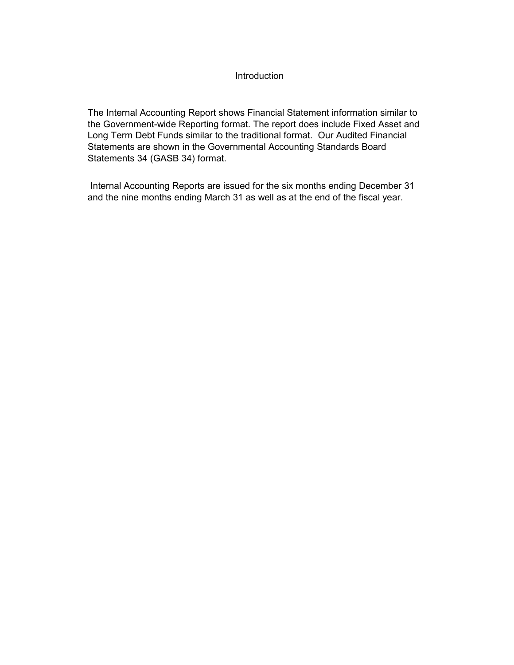## Introduction

The Internal Accounting Report shows Financial Statement information similar to the Government-wide Reporting format. The report does include Fixed Asset and Long Term Debt Funds similar to the traditional format. Our Audited Financial Statements are shown in the Governmental Accounting Standards Board Statements 34 (GASB 34) format.

 Internal Accounting Reports are issued for the six months ending December 31 and the nine months ending March 31 as well as at the end of the fiscal year.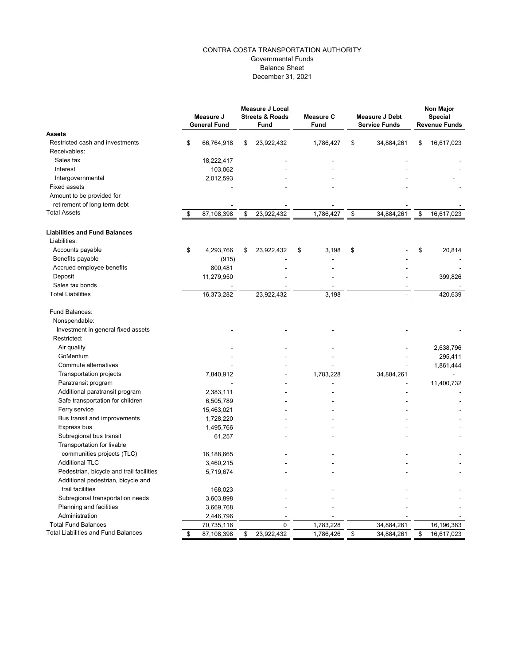### CONTRA COSTA TRANSPORTATION AUTHORITY Governmental Funds Balance Sheet December 31, 2021

|                                            | Measure J<br><b>General Fund</b> | <b>Measure J Local</b><br><b>Streets &amp; Roads</b><br><b>Fund</b> | <b>Measure C</b><br><b>Fund</b> | <b>Measure J Debt</b><br><b>Service Funds</b> | Non Major<br><b>Special</b><br><b>Revenue Funds</b> |
|--------------------------------------------|----------------------------------|---------------------------------------------------------------------|---------------------------------|-----------------------------------------------|-----------------------------------------------------|
| <b>Assets</b>                              |                                  |                                                                     |                                 |                                               |                                                     |
| Restricted cash and investments            | \$<br>66,764,918                 | \$<br>23,922,432                                                    | 1,786,427                       | \$<br>34,884,261                              | \$<br>16,617,023                                    |
| Receivables:                               |                                  |                                                                     |                                 |                                               |                                                     |
| Sales tax                                  | 18,222,417                       |                                                                     |                                 |                                               |                                                     |
| Interest                                   | 103,062                          |                                                                     |                                 |                                               |                                                     |
| Intergovernmental                          | 2,012,593                        |                                                                     |                                 |                                               |                                                     |
| <b>Fixed assets</b>                        |                                  |                                                                     |                                 |                                               |                                                     |
| Amount to be provided for                  |                                  |                                                                     |                                 |                                               |                                                     |
| retirement of long term debt               |                                  |                                                                     |                                 |                                               |                                                     |
| <b>Total Assets</b>                        | \$<br>87,108,398                 | \$<br>23,922,432                                                    | 1,786,427                       | \$<br>34,884,261                              | \$<br>16,617,023                                    |
| <b>Liabilities and Fund Balances</b>       |                                  |                                                                     |                                 |                                               |                                                     |
| Liabilities:                               |                                  |                                                                     |                                 |                                               |                                                     |
| Accounts payable                           | \$<br>4,293,766                  | \$<br>23,922,432                                                    | \$<br>3,198                     | \$                                            | \$<br>20,814                                        |
| Benefits payable                           | (915)                            |                                                                     |                                 |                                               |                                                     |
| Accrued employee benefits                  | 800,481                          |                                                                     |                                 |                                               |                                                     |
| Deposit                                    | 11,279,950                       |                                                                     |                                 |                                               | 399,826                                             |
| Sales tax bonds                            |                                  |                                                                     |                                 |                                               |                                                     |
| <b>Total Liabilities</b>                   | 16,373,282                       | 23,922,432                                                          | 3,198                           |                                               | 420.639                                             |
| Fund Balances:                             |                                  |                                                                     |                                 |                                               |                                                     |
| Nonspendable:                              |                                  |                                                                     |                                 |                                               |                                                     |
| Investment in general fixed assets         |                                  |                                                                     |                                 |                                               |                                                     |
| Restricted:                                |                                  |                                                                     |                                 |                                               |                                                     |
| Air quality                                |                                  |                                                                     |                                 |                                               | 2,638,796                                           |
| GoMentum                                   |                                  |                                                                     |                                 |                                               | 295,411                                             |
| Commute alternatives                       |                                  |                                                                     |                                 |                                               | 1,861,444                                           |
| Transportation projects                    | 7,840,912                        |                                                                     | 1,783,228                       | 34,884,261                                    |                                                     |
| Paratransit program                        |                                  |                                                                     |                                 |                                               | 11,400,732                                          |
| Additional paratransit program             | 2,383,111                        |                                                                     |                                 |                                               |                                                     |
| Safe transportation for children           | 6,505,789                        |                                                                     |                                 |                                               |                                                     |
| Ferry service                              | 15,463,021                       |                                                                     |                                 |                                               |                                                     |
| Bus transit and improvements               | 1,728,220                        |                                                                     |                                 |                                               |                                                     |
| Express bus                                | 1,495,766                        |                                                                     |                                 |                                               |                                                     |
|                                            |                                  |                                                                     |                                 |                                               |                                                     |
| Subregional bus transit                    | 61,257                           |                                                                     |                                 |                                               |                                                     |
| Transportation for livable                 |                                  |                                                                     |                                 |                                               |                                                     |
| communities projects (TLC)                 | 16,188,665                       |                                                                     |                                 |                                               |                                                     |
| <b>Additional TLC</b>                      | 3,460,215                        |                                                                     |                                 |                                               |                                                     |
| Pedestrian, bicycle and trail facilities   | 5,719,674                        |                                                                     |                                 |                                               |                                                     |
| Additional pedestrian, bicycle and         |                                  |                                                                     |                                 |                                               |                                                     |
| trail facilities                           | 168,023                          |                                                                     |                                 |                                               |                                                     |
| Subregional transportation needs           | 3,603,898                        |                                                                     |                                 |                                               |                                                     |
| Planning and facilities                    | 3,669,768                        |                                                                     |                                 |                                               |                                                     |
| Administration                             | 2,446,796                        |                                                                     |                                 |                                               |                                                     |
| <b>Total Fund Balances</b>                 | 70,735,116                       | 0                                                                   | 1,783,228                       | 34,884,261                                    | 16,196,383                                          |
| <b>Total Liabilities and Fund Balances</b> | \$<br>87,108,398                 | \$<br>23,922,432                                                    | 1,786,426                       | \$<br>34,884,261                              | \$<br>16,617,023                                    |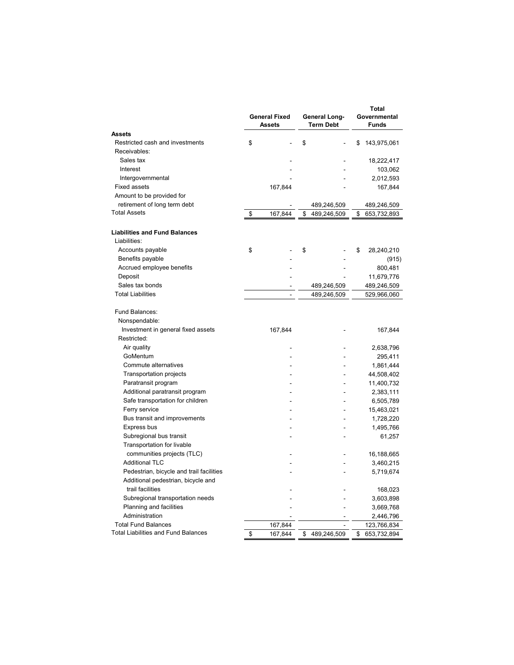|                                                      | <b>General Fixed</b><br><b>Assets</b> | <b>General Long-</b><br><b>Term Debt</b> | Total<br>Governmental<br><b>Funds</b> |             |  |  |
|------------------------------------------------------|---------------------------------------|------------------------------------------|---------------------------------------|-------------|--|--|
| Assets                                               |                                       |                                          |                                       |             |  |  |
| Restricted cash and investments                      | \$                                    | \$                                       | \$                                    | 143,975,061 |  |  |
| Receivables:                                         |                                       |                                          |                                       |             |  |  |
| Sales tax                                            |                                       |                                          |                                       | 18,222,417  |  |  |
| Interest                                             |                                       |                                          |                                       | 103,062     |  |  |
| Intergovernmental                                    |                                       |                                          |                                       | 2,012,593   |  |  |
| <b>Fixed assets</b>                                  | 167,844                               |                                          |                                       | 167,844     |  |  |
| Amount to be provided for                            |                                       |                                          |                                       |             |  |  |
| retirement of long term debt                         |                                       | 489,246,509                              |                                       | 489,246,509 |  |  |
| <b>Total Assets</b>                                  | \$<br>167,844                         | \$<br>489,246,509                        | \$                                    | 653,732,893 |  |  |
| <b>Liabilities and Fund Balances</b><br>Liabilities: |                                       |                                          |                                       |             |  |  |
| Accounts payable                                     | \$                                    | \$                                       | \$                                    | 28,240,210  |  |  |
| Benefits payable                                     |                                       |                                          |                                       | (915)       |  |  |
| Accrued employee benefits                            |                                       |                                          |                                       | 800,481     |  |  |
| Deposit                                              |                                       |                                          |                                       | 11,679,776  |  |  |
| Sales tax bonds                                      |                                       | 489,246,509                              |                                       | 489,246,509 |  |  |
| <b>Total Liabilities</b>                             | $\overline{a}$                        | 489,246,509                              |                                       | 529,966,060 |  |  |
| Fund Balances:                                       |                                       |                                          |                                       |             |  |  |
| Nonspendable:                                        |                                       |                                          |                                       |             |  |  |
| Investment in general fixed assets                   | 167,844                               |                                          |                                       | 167,844     |  |  |
| Restricted:                                          |                                       |                                          |                                       |             |  |  |
| Air quality                                          |                                       |                                          |                                       | 2,638,796   |  |  |
| GoMentum                                             |                                       |                                          |                                       | 295,411     |  |  |
| Commute alternatives                                 |                                       |                                          |                                       | 1,861,444   |  |  |
| Transportation projects                              |                                       |                                          |                                       | 44,508,402  |  |  |
| Paratransit program                                  |                                       |                                          |                                       | 11,400,732  |  |  |
| Additional paratransit program                       |                                       |                                          |                                       | 2,383,111   |  |  |
| Safe transportation for children                     |                                       |                                          |                                       | 6,505,789   |  |  |
| Ferry service                                        |                                       |                                          |                                       | 15,463,021  |  |  |
| Bus transit and improvements                         |                                       |                                          |                                       | 1,728,220   |  |  |
| Express bus                                          |                                       |                                          |                                       | 1,495,766   |  |  |
| Subregional bus transit                              |                                       |                                          |                                       | 61,257      |  |  |
| Transportation for livable                           |                                       |                                          |                                       |             |  |  |
| communities projects (TLC)                           |                                       |                                          |                                       | 16,188,665  |  |  |
| <b>Additional TLC</b>                                |                                       |                                          |                                       | 3,460,215   |  |  |
| Pedestrian, bicycle and trail facilities             |                                       |                                          |                                       | 5,719,674   |  |  |
| Additional pedestrian, bicycle and                   |                                       |                                          |                                       |             |  |  |
| trail facilities                                     |                                       |                                          |                                       | 168,023     |  |  |
| Subregional transportation needs                     |                                       |                                          |                                       | 3,603,898   |  |  |
| Planning and facilities                              |                                       |                                          |                                       | 3,669,768   |  |  |
| Administration                                       |                                       |                                          |                                       | 2,446,796   |  |  |
| <b>Total Fund Balances</b>                           | 167,844                               |                                          |                                       | 123,766,834 |  |  |
| <b>Total Liabilities and Fund Balances</b>           | \$<br>167,844                         | \$<br>489,246,509                        | \$                                    | 653,732,894 |  |  |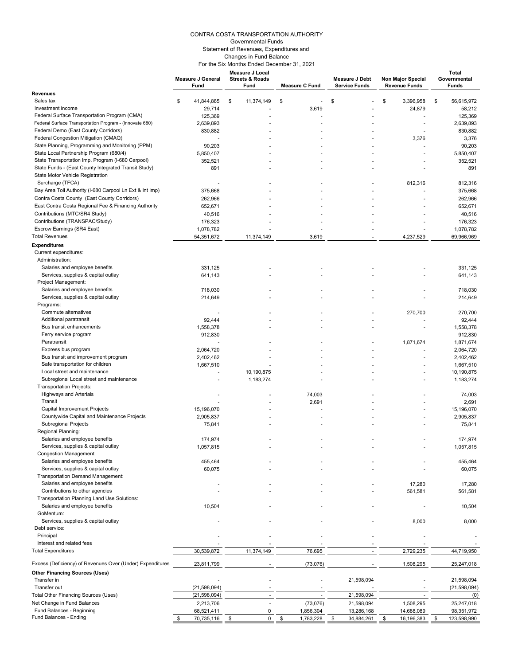#### CONTRA COSTA TRANSPORTATION AUTHORITY Governmental Funds Statement of Revenues, Expenditures and Changes in Fund Balance For the Six Months Ended December 31, 2021

|                                                                                             | <b>Measure J General</b><br>Fund | Measure J Local<br><b>Streets &amp; Roads</b><br>Fund | <b>Measure C Fund</b>        | <b>Measure J Debt</b><br><b>Service Funds</b> | Non Major Special<br><b>Revenue Funds</b> | Total<br>Governmental<br>Funds  |
|---------------------------------------------------------------------------------------------|----------------------------------|-------------------------------------------------------|------------------------------|-----------------------------------------------|-------------------------------------------|---------------------------------|
| <b>Revenues</b>                                                                             |                                  |                                                       |                              |                                               |                                           |                                 |
| Sales tax                                                                                   | 41,844,865<br>\$                 | 11,374,149<br>\$                                      | \$<br>ä,                     | \$                                            | \$<br>3,396,958                           | \$<br>56,615,972                |
| Investment income                                                                           | 29,714                           |                                                       | 3,619                        |                                               | 24,879                                    | 58,212                          |
| Federal Surface Transportation Program (CMA)                                                | 125,369                          |                                                       |                              |                                               |                                           | 125,369                         |
| Federal Surface Transportation Program - (Innovate 680)                                     | 2,639,893                        |                                                       |                              |                                               | $\overline{\phantom{a}}$                  | 2,639,893                       |
| Federal Demo (East County Corridors)                                                        | 830,882                          |                                                       |                              |                                               |                                           | 830,882                         |
| Federal Congestion Mitigation (CMAQ)                                                        |                                  |                                                       |                              |                                               | 3,376                                     | 3,376                           |
| State Planning, Programming and Monitoring (PPM)<br>State Local Partnership Program (680/4) | 90,203<br>5,850,407              |                                                       |                              |                                               |                                           | 90,203<br>5,850,407             |
| State Transportation Imp. Program (I-680 Carpool)                                           | 352,521                          |                                                       |                              |                                               |                                           | 352,521                         |
| State Funds - (East County Integrated Transit Study)                                        | 891                              |                                                       |                              |                                               |                                           | 891                             |
| State Motor Vehicle Registration<br>Surcharge (TFCA)                                        |                                  |                                                       |                              |                                               | 812,316                                   | 812.316                         |
| Bay Area Toll Authority (I-680 Carpool Ln Ext & Int Imp)                                    | 375,668                          |                                                       |                              |                                               |                                           | 375,668                         |
| Contra Costa County (East County Corridors)                                                 | 262,966                          |                                                       |                              |                                               |                                           | 262,966                         |
| East Contra Costa Regional Fee & Financing Authority                                        | 652,671                          |                                                       |                              |                                               |                                           | 652,671                         |
| Contributions (MTC/SR4 Study)                                                               | 40,516                           |                                                       |                              |                                               |                                           | 40,516                          |
| Contributions (TRANSPAC/Study)                                                              | 176,323                          |                                                       |                              |                                               |                                           | 176,323                         |
| Escrow Earnings (SR4 East)                                                                  | 1,078,782                        |                                                       |                              |                                               |                                           | 1,078,782                       |
| <b>Total Revenues</b>                                                                       | 54,351,672                       | 11,374,149                                            | 3,619                        |                                               | 4,237,529                                 | 69,966,969                      |
| <b>Expenditures</b>                                                                         |                                  |                                                       |                              |                                               |                                           |                                 |
| Current expenditures:                                                                       |                                  |                                                       |                              |                                               |                                           |                                 |
| Administration:                                                                             |                                  |                                                       |                              |                                               |                                           |                                 |
| Salaries and employee benefits                                                              | 331,125                          |                                                       |                              |                                               |                                           | 331,125                         |
| Services, supplies & capital outlay                                                         | 641,143                          |                                                       |                              |                                               |                                           | 641,143                         |
| Project Management:                                                                         |                                  |                                                       |                              |                                               |                                           |                                 |
| Salaries and employee benefits                                                              | 718,030                          |                                                       |                              |                                               |                                           | 718,030                         |
| Services, supplies & capital outlay                                                         | 214,649                          |                                                       |                              |                                               |                                           | 214,649                         |
| Programs:                                                                                   |                                  |                                                       |                              |                                               |                                           |                                 |
| Commute alternatives<br>Additional paratransit                                              | 92,444                           |                                                       |                              |                                               | 270,700                                   | 270,700<br>92,444               |
| Bus transit enhancements                                                                    | 1,558,378                        |                                                       |                              |                                               | $\overline{a}$                            | 1,558,378                       |
| Ferry service program                                                                       | 912,830                          |                                                       |                              |                                               |                                           | 912,830                         |
| Paratransit                                                                                 |                                  |                                                       |                              |                                               | 1,871,674                                 | 1,871,674                       |
| Express bus program                                                                         | 2,064,720                        |                                                       |                              |                                               |                                           | 2,064,720                       |
| Bus transit and improvement program                                                         | 2,402,462                        |                                                       |                              |                                               |                                           | 2,402,462                       |
| Safe transportation for children                                                            | 1,667,510                        |                                                       |                              |                                               |                                           | 1,667,510                       |
| Local street and maintenance                                                                |                                  | 10,190,875                                            |                              |                                               |                                           | 10,190,875                      |
| Subregional Local street and maintenance                                                    |                                  | 1,183,274                                             |                              |                                               |                                           | 1,183,274                       |
| Transportation Projects:                                                                    |                                  |                                                       |                              |                                               |                                           |                                 |
| <b>Highways and Arterials</b>                                                               |                                  |                                                       | 74,003                       |                                               |                                           | 74,003                          |
| Transit                                                                                     |                                  |                                                       | 2,691                        |                                               |                                           | 2,691                           |
| Capital Improvement Projects                                                                | 15,196,070                       |                                                       |                              |                                               |                                           | 15,196,070                      |
| Countywide Capital and Maintenance Projects                                                 | 2,905,837                        |                                                       |                              |                                               |                                           | 2,905,837                       |
| <b>Subregional Projects</b>                                                                 | 75,841                           |                                                       |                              |                                               |                                           | 75,841                          |
| Regional Planning:<br>Salaries and employee benefits                                        |                                  |                                                       |                              |                                               |                                           |                                 |
| Services, supplies & capital outlay                                                         | 174,974                          |                                                       |                              |                                               |                                           | 174,974                         |
| <b>Congestion Management:</b>                                                               | 1,057,815                        |                                                       |                              |                                               |                                           | 1,057,815                       |
| Salaries and employee benefits                                                              | 455,464                          |                                                       |                              |                                               |                                           | 455,464                         |
| Services, supplies & capital outlay                                                         | 60,075                           |                                                       |                              |                                               |                                           | 60,075                          |
| Transportation Demand Management:                                                           |                                  |                                                       |                              |                                               |                                           |                                 |
| Salaries and employee benefits                                                              |                                  |                                                       |                              |                                               | 17,280                                    | 17,280                          |
| Contributions to other agencies                                                             |                                  |                                                       |                              |                                               | 561,581                                   | 561,581                         |
| Transportation Planning Land Use Solutions:                                                 |                                  |                                                       |                              |                                               |                                           |                                 |
| Salaries and employee benefits<br>GoMentum:                                                 | 10,504                           |                                                       |                              |                                               |                                           | 10,504                          |
| Services, supplies & capital outlay                                                         |                                  |                                                       |                              |                                               | 8,000                                     | 8,000                           |
| Debt service:                                                                               |                                  |                                                       |                              |                                               |                                           |                                 |
| Principal                                                                                   |                                  |                                                       |                              |                                               |                                           |                                 |
| Interest and related fees                                                                   |                                  |                                                       |                              |                                               |                                           |                                 |
| <b>Total Expenditures</b>                                                                   | 30,539,872                       | 11,374,149                                            | 76,695                       |                                               | 2,729,235                                 | 44,719,950                      |
| Excess (Deficiency) of Revenues Over (Under) Expenditures                                   | 23,811,799                       |                                                       | (73, 076)                    |                                               | 1,508,295                                 | 25,247,018                      |
| <b>Other Financing Sources (Uses)</b>                                                       |                                  |                                                       |                              |                                               |                                           |                                 |
| Transfer in                                                                                 |                                  |                                                       |                              | 21,598,094                                    |                                           | 21,598,094                      |
| Transfer out                                                                                | (21, 598, 094)                   |                                                       |                              |                                               |                                           | (21, 598, 094)                  |
| Total Other Financing Sources (Uses)                                                        | (21, 598, 094)                   |                                                       |                              | 21,598,094                                    |                                           | (0)                             |
| Net Change in Fund Balances<br>Fund Balances - Beginning                                    | 2,213,706                        |                                                       | (73,076)                     | 21,598,094                                    | 1,508,295                                 | 25,247,018                      |
| Fund Balances - Ending                                                                      | 68,521,411<br>\$<br>70,735,116   | 0<br>0<br>\$                                          | 1,856,304<br>\$<br>1,783,228 | 13,286,168<br>\$<br>34,884,261                | 14,688,089<br>\$<br>16,196,383            | 98,351,972<br>\$<br>123,598,990 |
|                                                                                             |                                  |                                                       |                              |                                               |                                           |                                 |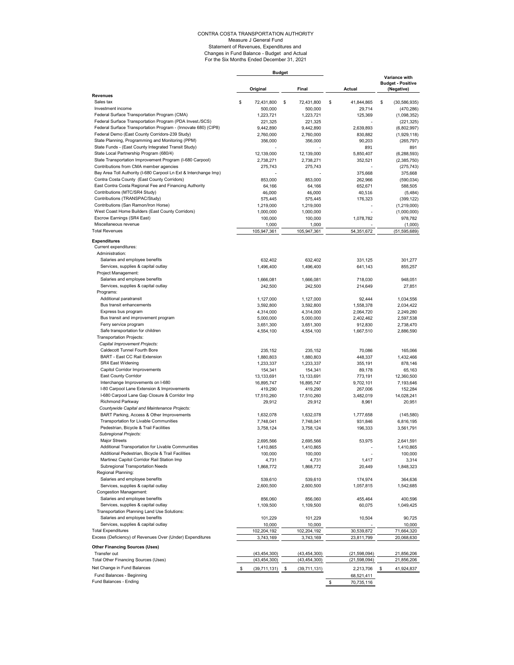# CONTRA COSTA TRANSPORTATION AUTHORITY Measure J General Fund Statement of Revenues, Expenditures and Changes in Fund Balance - Budget and Actual For the Six Months Ended December 31, 2021

|                                                                                                    | <b>Budget</b> |                        |    |                        |    |                      |    |                                                         |
|----------------------------------------------------------------------------------------------------|---------------|------------------------|----|------------------------|----|----------------------|----|---------------------------------------------------------|
|                                                                                                    |               | Original               |    | Final                  |    | Actual               |    | Variance with<br><b>Budget - Positive</b><br>(Negative) |
| <b>Revenues</b><br>Sales tax                                                                       | \$            | 72,431,800             | \$ | 72,431,800             | \$ | 41,844,865           | \$ | (30, 586, 935)                                          |
| Investment income                                                                                  |               | 500,000                |    | 500,000                |    | 29,714               |    | (470, 286)                                              |
| Federal Surface Transportation Program (CMA)                                                       |               | 1,223,721              |    | 1,223,721              |    | 125,369              |    | (1,098,352)                                             |
| Federal Surface Transportation Program (PDA Invest./SCS)                                           |               | 221,325                |    | 221,325                |    |                      |    | (221, 325)                                              |
| Federal Surface Transportation Program - (Innovate 680) (CIP8)                                     |               | 9,442,890              |    | 9,442,890              |    | 2,639,893            |    | (6,802,997)                                             |
| Federal Demo (East County Corridors-239 Study)<br>State Planning, Programming and Monitoring (PPM) |               | 2,760,000              |    | 2,760,000              |    | 830,882              |    | (1,929,118)                                             |
| State Funds - (East County Integrated Transit Study)                                               |               | 356,000                |    | 356,000                |    | 90,203<br>891        |    | (265, 797)<br>891                                       |
| State Local Partnership Program (680/4)                                                            |               | 12,139,000             |    | 12,139,000             |    | 5,850,407            |    | (6, 288, 593)                                           |
| State Transportation Improvement Program (I-680 Carpool)                                           |               | 2,738,271              |    | 2,738,271              |    | 352,521              |    | (2,385,750)                                             |
| Contributions from CMA member agencies                                                             |               | 275,743                |    | 275,743                |    |                      |    | (275, 743)                                              |
| Bay Area Toll Authority (I-680 Carpool Ln Ext & Interchange Imp)                                   |               |                        |    |                        |    | 375,668              |    | 375,668                                                 |
| Contra Costa County (East County Corridors)                                                        |               | 853,000                |    | 853,000                |    | 262,966              |    | (590, 034)                                              |
| East Contra Costa Regional Fee and Financing Authority                                             |               | 64,166                 |    | 64,166                 |    | 652,671              |    | 588,505                                                 |
| Contributions (MTC/SR4 Study)<br>Contributions (TRANSPAC/Study)                                    |               | 46,000<br>575,445      |    | 46,000<br>575,445      |    | 40,516<br>176,323    |    | (5, 484)<br>(399, 122)                                  |
| Contributions (San Ramon/Iron Horse)                                                               |               | 1,219,000              |    | 1,219,000              |    |                      |    | (1,219,000)                                             |
| West Coast Home Builders (East County Corridors)                                                   |               | 1,000,000              |    | 1,000,000              |    |                      |    | (1,000,000)                                             |
| Escrow Earnings (SR4 East)                                                                         |               | 100,000                |    | 100,000                |    | 1,078,782            |    | 978,782                                                 |
| Miscellaneous revenue                                                                              |               | 1,000                  |    | 1,000                  |    |                      |    | (1,000)                                                 |
| <b>Total Revenues</b>                                                                              |               | 105,947,361            |    | 105,947,361            |    | 54,351,672           |    | (51, 595, 689)                                          |
| <b>Expenditures</b>                                                                                |               |                        |    |                        |    |                      |    |                                                         |
| Current expenditures:                                                                              |               |                        |    |                        |    |                      |    |                                                         |
| Administration:                                                                                    |               |                        |    |                        |    |                      |    |                                                         |
| Salaries and employee benefits                                                                     |               | 632,402                |    | 632,402                |    | 331,125              |    | 301,277                                                 |
| Services, supplies & capital outlay                                                                |               | 1,496,400              |    | 1,496,400              |    | 641,143              |    | 855,257                                                 |
| Project Management:                                                                                |               |                        |    |                        |    |                      |    |                                                         |
| Salaries and employee benefits                                                                     |               | 1,666,081              |    | 1,666,081              |    | 718,030              |    | 948.051                                                 |
| Services, supplies & capital outlay<br>Programs:                                                   |               | 242,500                |    | 242,500                |    | 214,649              |    | 27,851                                                  |
| Additional paratransit                                                                             |               | 1,127,000              |    | 1,127,000              |    | 92,444               |    | 1,034,556                                               |
| Bus transit enhancements                                                                           |               | 3,592,800              |    | 3,592,800              |    | 1,558,378            |    | 2,034,422                                               |
| Express bus program                                                                                |               | 4,314,000              |    | 4,314,000              |    | 2,064,720            |    | 2,249,280                                               |
| Bus transit and improvement program                                                                |               | 5,000,000              |    | 5,000,000              |    | 2,402,462            |    | 2,597,538                                               |
| Ferry service program                                                                              |               | 3,651,300              |    | 3,651,300              |    | 912,830              |    | 2,738,470                                               |
| Safe transportation for children                                                                   |               | 4,554,100              |    | 4,554,100              |    | 1,667,510            |    | 2,886,590                                               |
| <b>Transportation Projects:</b>                                                                    |               |                        |    |                        |    |                      |    |                                                         |
| Capital Improvement Projects:<br>Caldecott Tunnel Fourth Bore                                      |               |                        |    |                        |    |                      |    |                                                         |
| BART - East CC Rail Extension                                                                      |               | 235,152<br>1,880,803   |    | 235,152<br>1,880,803   |    | 70,086<br>448,337    |    | 165,066<br>1,432,466                                    |
| SR4 East Widening                                                                                  |               | 1,233,337              |    | 1,233,337              |    | 355,191              |    | 878,146                                                 |
| Capitol Corridor Improvements                                                                      |               | 154,341                |    | 154,341                |    | 89,178               |    | 65,163                                                  |
| East County Corridor                                                                               |               | 13,133,691             |    | 13,133,691             |    | 773,191              |    | 12,360,500                                              |
| Interchange Improvements on I-680                                                                  |               | 16,895,747             |    | 16,895,747             |    | 9,702,101            |    | 7,193,646                                               |
| I-80 Carpool Lane Extension & Improvements                                                         |               | 419,290                |    | 419,290                |    | 267,006              |    | 152,284                                                 |
| I-680 Carpool Lane Gap Closure & Corridor Imp                                                      |               | 17,510,260             |    | 17,510,260             |    | 3,482,019            |    | 14,028,241                                              |
| Richmond Parkway<br>Countywide Capital and Maintenance Projects:                                   |               | 29,912                 |    | 29,912                 |    | 8,961                |    | 20,951                                                  |
| BART Parking, Access & Other Improvements                                                          |               |                        |    |                        |    |                      |    |                                                         |
| Transportation for Livable Communities                                                             |               | 1,632,078<br>7,748,041 |    | 1,632,078<br>7,748,041 |    | 1,777,658<br>931,846 |    | (145, 580)<br>6,816,195                                 |
| Pedestrian, Bicycle & Trail Facilities                                                             |               | 3,758,124              |    | 3,758,124              |    | 196,333              |    | 3,561,791                                               |
| Subregional Projects:                                                                              |               |                        |    |                        |    |                      |    |                                                         |
| Major Streets                                                                                      |               | 2,695,566              |    | 2.695.566              |    | 53,975               |    | 2,641,591                                               |
| Additional Transportation for Livable Communities                                                  |               | 1,410,865              |    | 1,410,865              |    |                      |    | 1,410,865                                               |
| Additional Pedestrian, Bicycle & Trail Facilities                                                  |               | 100,000                |    | 100,000                |    |                      |    | 100,000                                                 |
| Martinez Capitol Corridor Rail Station Imp                                                         |               | 4,731                  |    | 4,731                  |    | 1,417                |    | 3,314                                                   |
| Subregional Transportation Needs                                                                   |               | 1,868,772              |    | 1,868,772              |    | 20,449               |    | 1,848,323                                               |
| Regional Planning:<br>Salaries and employee benefits                                               |               | 539,610                |    | 539,610                |    | 174,974              |    | 364,636                                                 |
| Services, supplies & capital outlay                                                                |               | 2,600,500              |    | 2,600,500              |    | 1,057,815            |    | 1,542,685                                               |
| Congestion Management:                                                                             |               |                        |    |                        |    |                      |    |                                                         |
| Salaries and employee benefits                                                                     |               | 856,060                |    | 856,060                |    | 455,464              |    | 400,596                                                 |
| Services, supplies & capital outlay                                                                |               | 1,109,500              |    | 1,109,500              |    | 60,075               |    | 1,049,425                                               |
| Transportation Planning Land Use Solutions:                                                        |               |                        |    |                        |    |                      |    |                                                         |
| Salaries and employee benefits                                                                     |               | 101,229                |    | 101,229                |    | 10,504               |    | 90,725                                                  |
| Services, supplies & capital outlay                                                                |               | 10,000                 |    | 10,000                 |    |                      |    | 10,000                                                  |
| <b>Total Expenditures</b>                                                                          |               | 102,204,192            |    | 102,204,192            |    | 30,539,872           |    | 71,664,320                                              |
| Excess (Deficiency) of Revenues Over (Under) Expenditures                                          |               | 3,743,169              |    | 3,743,169              |    | 23,811,799           |    | 20,068,630                                              |
| <b>Other Financing Sources (Uses)</b>                                                              |               |                        |    |                        |    |                      |    |                                                         |
| Transfer out                                                                                       |               | (43,454,300)           |    | (43,454,300)           |    | (21,598,094)         |    | 21,856,206                                              |
| Total Other Financing Sources (Uses)                                                               |               | (43, 454, 300)         |    | (43, 454, 300)         |    | (21, 598, 094)       |    | 21,856,206                                              |
| Net Change in Fund Balances                                                                        | \$            | (39, 711, 131)         | \$ | (39, 711, 131)         |    | 2,213,706            | \$ | 41,924,837                                              |
| Fund Balances - Beginning                                                                          |               |                        |    |                        |    | 68,521,411           |    |                                                         |
| Fund Balances - Ending                                                                             |               |                        |    |                        | \$ | 70,735,116           |    |                                                         |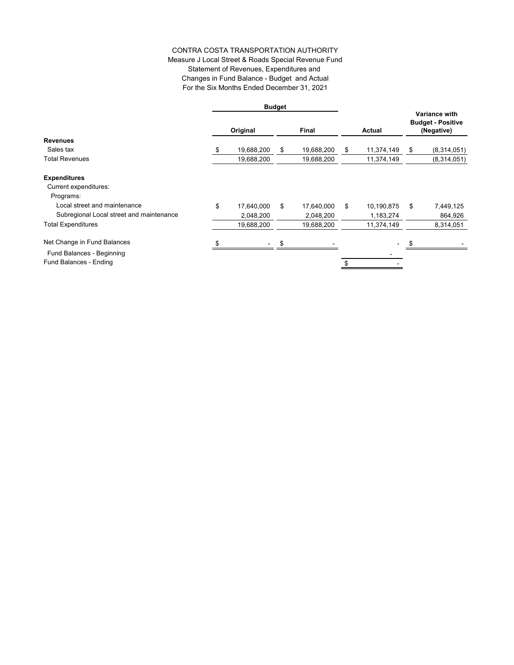## CONTRA COSTA TRANSPORTATION AUTHORITY Measure J Local Street & Roads Special Revenue Fund Statement of Revenues, Expenditures and Changes in Fund Balance - Budget and Actual For the Six Months Ended December 31, 2021

|                                          |          |            | <b>Budget</b> |            |               |            |    |                                                                |
|------------------------------------------|----------|------------|---------------|------------|---------------|------------|----|----------------------------------------------------------------|
|                                          | Original |            | Final         |            | <b>Actual</b> |            |    | <b>Variance with</b><br><b>Budget - Positive</b><br>(Negative) |
| <b>Revenues</b>                          |          |            |               |            |               |            |    |                                                                |
| Sales tax                                |          | 19,688,200 | \$            | 19,688,200 | \$            | 11,374,149 | S  | (8,314,051)                                                    |
| <b>Total Revenues</b>                    |          | 19,688,200 |               | 19,688,200 |               | 11,374,149 |    | (8,314,051)                                                    |
| <b>Expenditures</b>                      |          |            |               |            |               |            |    |                                                                |
| Current expenditures:                    |          |            |               |            |               |            |    |                                                                |
| Programs:                                |          |            |               |            |               |            |    |                                                                |
| Local street and maintenance             | \$       | 17,640,000 | \$            | 17,640,000 | \$            | 10,190,875 | \$ | 7,449,125                                                      |
| Subregional Local street and maintenance |          | 2,048,200  |               | 2,048,200  |               | 1,183,274  |    | 864,926                                                        |
| <b>Total Expenditures</b>                |          | 19,688,200 |               | 19,688,200 |               | 11,374,149 |    | 8,314,051                                                      |
| Net Change in Fund Balances              |          |            | S             |            |               |            |    |                                                                |
| Fund Balances - Beginning                |          |            |               |            |               |            |    |                                                                |
| Fund Balances - Ending                   |          |            |               |            | \$            |            |    |                                                                |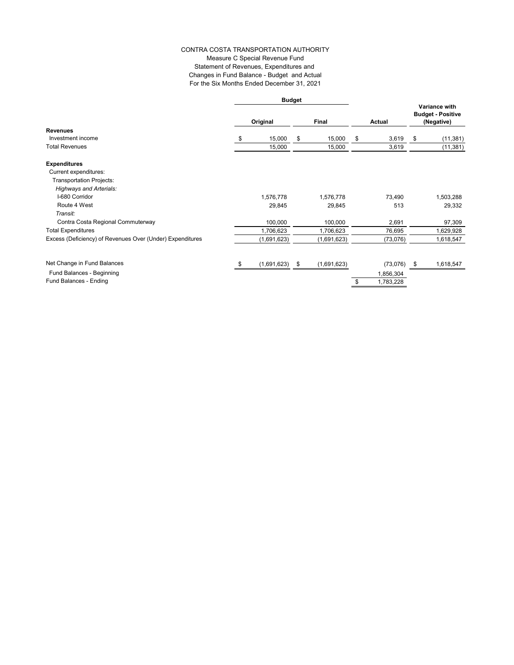#### CONTRA COSTA TRANSPORTATION AUTHORITY Measure C Special Revenue Fund Statement of Revenues, Expenditures and Changes in Fund Balance - Budget and Actual For the Six Months Ended December 31, 2021

|                                                           | <b>Budget</b> |             |    |             |        |           |      |                                                         |
|-----------------------------------------------------------|---------------|-------------|----|-------------|--------|-----------|------|---------------------------------------------------------|
|                                                           |               | Original    |    | Final       | Actual |           |      | Variance with<br><b>Budget - Positive</b><br>(Negative) |
| <b>Revenues</b>                                           |               |             |    |             |        |           |      |                                                         |
| Investment income                                         | S             | 15,000      | \$ | 15,000      | \$     | 3,619     | \$   | (11, 381)                                               |
| <b>Total Revenues</b>                                     |               | 15,000      |    | 15,000      |        | 3,619     |      | (11, 381)                                               |
| <b>Expenditures</b>                                       |               |             |    |             |        |           |      |                                                         |
| Current expenditures:                                     |               |             |    |             |        |           |      |                                                         |
| <b>Transportation Projects:</b>                           |               |             |    |             |        |           |      |                                                         |
| <b>Highways and Arterials:</b>                            |               |             |    |             |        |           |      |                                                         |
| I-680 Corridor                                            |               | 1,576,778   |    | 1,576,778   |        | 73,490    |      | 1,503,288                                               |
| Route 4 West                                              |               | 29,845      |    | 29,845      |        | 513       |      | 29,332                                                  |
| Transit:                                                  |               |             |    |             |        |           |      |                                                         |
| Contra Costa Regional Commuterway                         |               | 100,000     |    | 100,000     |        | 2,691     |      | 97,309                                                  |
| <b>Total Expenditures</b>                                 |               | 1,706,623   |    | 1,706,623   |        | 76,695    |      | 1,629,928                                               |
| Excess (Deficiency) of Revenues Over (Under) Expenditures |               | (1,691,623) |    | (1,691,623) |        | (73, 076) |      | 1,618,547                                               |
|                                                           |               |             |    |             |        |           |      |                                                         |
| Net Change in Fund Balances                               | - 35          | (1,691,623) | \$ | (1,691,623) |        | (73,076)  | - \$ | 1,618,547                                               |
| Fund Balances - Beginning                                 |               |             |    |             |        | 1,856,304 |      |                                                         |
| Fund Balances - Ending                                    |               |             |    |             | \$     | 1,783,228 |      |                                                         |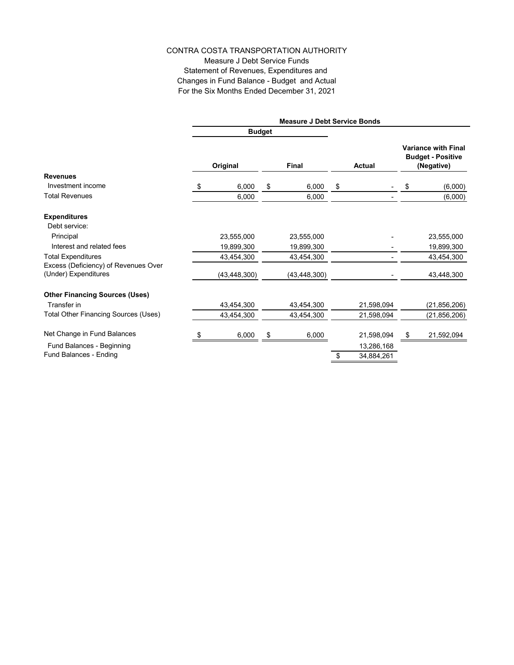Measure J Debt Service Funds Statement of Revenues, Expenditures and Changes in Fund Balance - Budget and Actual For the Six Months Ended December 31, 2021

|                                       |                |               | <b>Measure J Debt Service Bonds</b> |                  |                                                                      |                |  |
|---------------------------------------|----------------|---------------|-------------------------------------|------------------|----------------------------------------------------------------------|----------------|--|
|                                       |                | <b>Budget</b> |                                     |                  |                                                                      |                |  |
|                                       | Original       |               | <b>Final</b>                        | <b>Actual</b>    | <b>Variance with Final</b><br><b>Budget - Positive</b><br>(Negative) |                |  |
| <b>Revenues</b>                       |                |               |                                     |                  |                                                                      |                |  |
| Investment income                     | \$<br>6,000    | \$            | 6,000                               | \$               | \$                                                                   | (6,000)        |  |
| <b>Total Revenues</b>                 | 6,000          |               | 6,000                               |                  |                                                                      | (6,000)        |  |
| <b>Expenditures</b>                   |                |               |                                     |                  |                                                                      |                |  |
| Debt service:                         |                |               |                                     |                  |                                                                      |                |  |
| Principal                             | 23,555,000     |               | 23,555,000                          |                  |                                                                      | 23,555,000     |  |
| Interest and related fees             | 19,899,300     |               | 19,899,300                          |                  |                                                                      | 19,899,300     |  |
| <b>Total Expenditures</b>             | 43,454,300     |               | 43,454,300                          |                  |                                                                      | 43,454,300     |  |
| Excess (Deficiency) of Revenues Over  |                |               |                                     |                  |                                                                      |                |  |
| (Under) Expenditures                  | (43, 448, 300) |               | (43, 448, 300)                      |                  |                                                                      | 43,448,300     |  |
| <b>Other Financing Sources (Uses)</b> |                |               |                                     |                  |                                                                      |                |  |
| Transfer in                           | 43,454,300     |               | 43,454,300                          | 21,598,094       |                                                                      | (21, 856, 206) |  |
| Total Other Financing Sources (Uses)  | 43,454,300     |               | 43,454,300                          | 21,598,094       |                                                                      | (21, 856, 206) |  |
| Net Change in Fund Balances           | 6,000          | \$            | 6,000                               | 21,598,094       | \$                                                                   | 21,592,094     |  |
| Fund Balances - Beginning             |                |               |                                     | 13,286,168       |                                                                      |                |  |
| Fund Balances - Ending                |                |               |                                     | \$<br>34,884,261 |                                                                      |                |  |
|                                       |                |               |                                     |                  |                                                                      |                |  |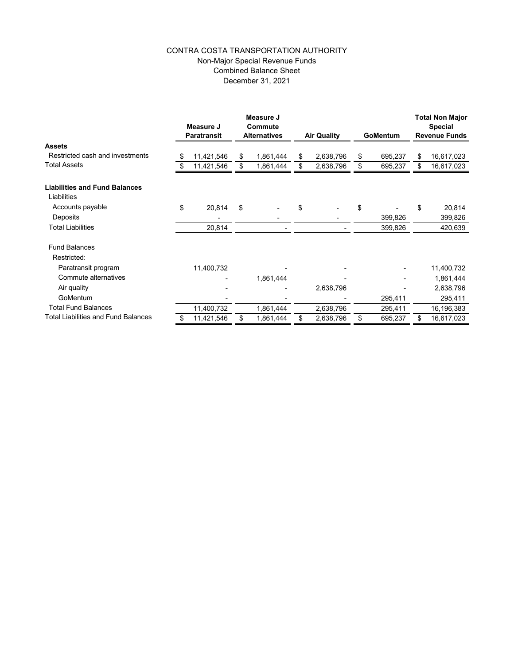## CONTRA COSTA TRANSPORTATION AUTHORITY Non-Major Special Revenue Funds Combined Balance Sheet December 31, 2021

|                                                     | Measure J<br><b>Paratransit</b> |            |    | Measure J<br>Commute<br><b>Alternatives</b> |    | <b>Air Quality</b> |    | <b>GoMentum</b> | <b>Total Non Major</b><br><b>Special</b><br><b>Revenue Funds</b> |            |
|-----------------------------------------------------|---------------------------------|------------|----|---------------------------------------------|----|--------------------|----|-----------------|------------------------------------------------------------------|------------|
| <b>Assets</b>                                       |                                 |            |    |                                             |    |                    |    |                 |                                                                  |            |
| Restricted cash and investments                     | \$                              | 11,421,546 | S  | 1,861,444                                   | S  | 2,638,796          | \$ | 695,237         | \$                                                               | 16,617,023 |
| Total Assets                                        | \$                              | 11,421,546 | \$ | 1,861,444                                   | \$ | 2,638,796          | \$ | 695,237         | \$                                                               | 16,617,023 |
| <b>Liabilities and Fund Balances</b><br>Liabilities |                                 |            |    |                                             |    |                    |    |                 |                                                                  |            |
| Accounts payable                                    | \$                              | 20,814     | \$ |                                             | \$ |                    | \$ |                 | \$                                                               | 20,814     |
| Deposits                                            |                                 |            |    |                                             |    |                    |    | 399,826         |                                                                  | 399,826    |
| <b>Total Liabilities</b>                            |                                 | 20,814     |    |                                             |    |                    |    | 399,826         |                                                                  | 420,639    |
| <b>Fund Balances</b>                                |                                 |            |    |                                             |    |                    |    |                 |                                                                  |            |
| Restricted:                                         |                                 |            |    |                                             |    |                    |    |                 |                                                                  |            |
| Paratransit program                                 |                                 | 11,400,732 |    |                                             |    |                    |    |                 |                                                                  | 11,400,732 |
| Commute alternatives                                |                                 |            |    | 1,861,444                                   |    |                    |    |                 |                                                                  | 1,861,444  |
| Air quality                                         |                                 |            |    |                                             |    | 2,638,796          |    |                 |                                                                  | 2,638,796  |
| GoMentum                                            |                                 |            |    |                                             |    |                    |    | 295,411         |                                                                  | 295,411    |
| <b>Total Fund Balances</b>                          |                                 | 11,400,732 |    | 1,861,444                                   |    | 2,638,796          |    | 295,411         |                                                                  | 16,196,383 |
| <b>Total Liabilities and Fund Balances</b>          | \$                              | 11,421,546 | \$ | 1,861,444                                   | \$ | 2,638,796          | \$ | 695,237         | \$                                                               | 16,617,023 |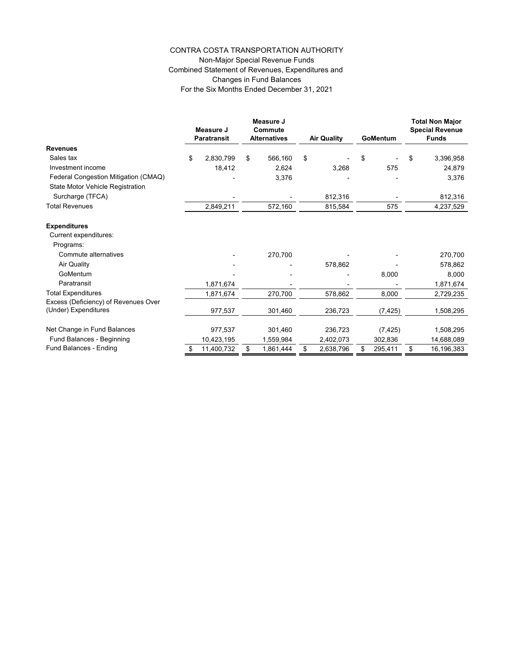## Non-Major Special Revenue Funds Combined Statement of Revenues, Expenditures and Changes in Fund Balances For the Six Months Ended December 31, 2021

|                                      | Measure J<br><b>Paratransit</b> |    | Measure J<br>Commute<br><b>Alternatives</b> |    | <b>Air Quality</b> |    | GoMentum |    | <b>Total Non Major</b><br><b>Special Revenue</b><br><b>Funds</b> |  |
|--------------------------------------|---------------------------------|----|---------------------------------------------|----|--------------------|----|----------|----|------------------------------------------------------------------|--|
| <b>Revenues</b>                      |                                 |    |                                             |    |                    |    |          |    |                                                                  |  |
| Sales tax                            | \$<br>2,830,799                 | \$ | 566,160                                     | \$ |                    | \$ |          | \$ | 3,396,958                                                        |  |
| Investment income                    | 18,412                          |    | 2,624                                       |    | 3,268              |    | 575      |    | 24,879                                                           |  |
| Federal Congestion Mitigation (CMAQ) |                                 |    | 3,376                                       |    |                    |    |          |    | 3,376                                                            |  |
| State Motor Vehicle Registration     |                                 |    |                                             |    |                    |    |          |    |                                                                  |  |
| Surcharge (TFCA)                     |                                 |    |                                             |    | 812,316            |    |          |    | 812,316                                                          |  |
| <b>Total Revenues</b>                | 2,849,211                       |    | 572,160                                     |    | 815,584            |    | 575      |    | 4,237,529                                                        |  |
| <b>Expenditures</b>                  |                                 |    |                                             |    |                    |    |          |    |                                                                  |  |
| Current expenditures:                |                                 |    |                                             |    |                    |    |          |    |                                                                  |  |
| Programs:                            |                                 |    |                                             |    |                    |    |          |    |                                                                  |  |
| Commute alternatives                 |                                 |    | 270,700                                     |    |                    |    |          |    | 270,700                                                          |  |
| <b>Air Quality</b>                   |                                 |    |                                             |    | 578,862            |    |          |    | 578,862                                                          |  |
| GoMentum                             |                                 |    |                                             |    |                    |    | 8,000    |    | 8,000                                                            |  |
| Paratransit                          | 1,871,674                       |    |                                             |    |                    |    |          |    | 1,871,674                                                        |  |
| <b>Total Expenditures</b>            | 1,871,674                       |    | 270,700                                     |    | 578,862            |    | 8,000    |    | 2,729,235                                                        |  |
| Excess (Deficiency) of Revenues Over |                                 |    |                                             |    |                    |    |          |    |                                                                  |  |
| (Under) Expenditures                 | 977,537                         |    | 301,460                                     |    | 236,723            |    | (7, 425) |    | 1,508,295                                                        |  |
| Net Change in Fund Balances          | 977,537                         |    | 301,460                                     |    | 236,723            |    | (7, 425) |    | 1,508,295                                                        |  |
| Fund Balances - Beginning            | 10,423,195                      |    | 1,559,984                                   |    | 2,402,073          |    | 302,836  |    | 14,688,089                                                       |  |
| Fund Balances - Ending               | \$<br>11,400,732                | \$ | 1,861,444                                   | \$ | 2,638,796          | \$ | 295,411  | \$ | 16,196,383                                                       |  |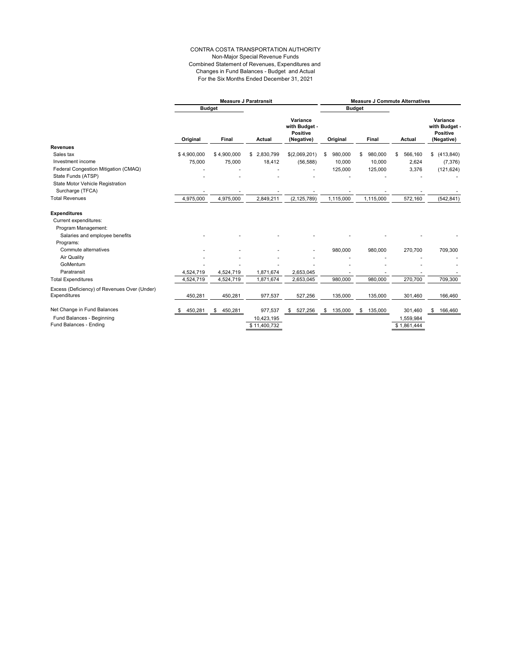#### CONTRA COSTA TRANSPORTATION AUTHORITY Non-Major Special Revenue Funds Combined Statement of Revenues, Expenditures and Changes in Fund Balances - Budget and Actual For the Six Months Ended December 31, 2021

|                                              |              |               | <b>Measure J Paratransit</b> | <b>Measure J Commute Alternatives</b>                    |               |               |             |                                                            |  |  |  |
|----------------------------------------------|--------------|---------------|------------------------------|----------------------------------------------------------|---------------|---------------|-------------|------------------------------------------------------------|--|--|--|
|                                              |              | <b>Budget</b> |                              |                                                          |               | <b>Budget</b> |             |                                                            |  |  |  |
|                                              | Original     | Final         | Actual                       | Variance<br>with Budget<br><b>Positive</b><br>(Negative) | Original      | <b>Final</b>  | Actual      | Variance<br>with Budget -<br><b>Positive</b><br>(Negative) |  |  |  |
| <b>Revenues</b>                              |              |               |                              |                                                          |               |               |             |                                                            |  |  |  |
| Sales tax                                    | \$4,900,000  | \$4,900,000   | \$2,830,799                  | \$(2,069,201)                                            | 980,000       | 980,000<br>S  | 566,160     | \$<br>(413, 840)                                           |  |  |  |
| Investment income                            | 75,000       | 75,000        | 18,412                       | (56, 588)                                                | 10,000        | 10,000        | 2,624       | (7, 376)                                                   |  |  |  |
| Federal Congestion Mitigation (CMAQ)         |              |               |                              |                                                          | 125,000       | 125,000       | 3,376       | (121, 624)                                                 |  |  |  |
| State Funds (ATSP)                           |              |               |                              |                                                          |               |               |             |                                                            |  |  |  |
| State Motor Vehicle Registration             |              |               |                              |                                                          |               |               |             |                                                            |  |  |  |
| Surcharge (TFCA)                             |              |               |                              |                                                          |               |               |             |                                                            |  |  |  |
| <b>Total Revenues</b>                        | 4,975,000    | 4,975,000     | 2,849,211                    | (2, 125, 789)                                            | 1,115,000     | 1,115,000     | 572,160     | (542, 841)                                                 |  |  |  |
| <b>Expenditures</b>                          |              |               |                              |                                                          |               |               |             |                                                            |  |  |  |
| Current expenditures:                        |              |               |                              |                                                          |               |               |             |                                                            |  |  |  |
| Program Management:                          |              |               |                              |                                                          |               |               |             |                                                            |  |  |  |
| Salaries and employee benefits               |              |               |                              |                                                          |               |               |             |                                                            |  |  |  |
| Programs:                                    |              |               |                              |                                                          |               |               |             |                                                            |  |  |  |
| Commute alternatives                         |              |               |                              |                                                          | 980,000       | 980,000       | 270,700     | 709,300                                                    |  |  |  |
| Air Quality                                  |              |               |                              |                                                          |               |               |             |                                                            |  |  |  |
| GoMentum                                     |              |               |                              |                                                          |               |               |             |                                                            |  |  |  |
| Paratransit                                  | 4,524,719    | 4,524,719     | 1,871,674                    | 2,653,045                                                |               |               |             |                                                            |  |  |  |
| <b>Total Expenditures</b>                    | 4,524,719    | 4,524,719     | 1,871,674                    | 2,653,045                                                | 980,000       | 980,000       | 270,700     | 709,300                                                    |  |  |  |
| Excess (Deficiency) of Revenues Over (Under) |              |               |                              |                                                          |               |               |             |                                                            |  |  |  |
| Expenditures                                 | 450,281      | 450,281       | 977,537                      | 527,256                                                  | 135,000       | 135,000       | 301,460     | 166,460                                                    |  |  |  |
| Net Change in Fund Balances                  | 450.281<br>S | 450,281<br>\$ | 977,537                      | s.<br>527,256                                            | 135,000<br>\$ | 135,000<br>\$ | 301,460     | 166,460<br>\$                                              |  |  |  |
| Fund Balances - Beginning                    |              |               | 10,423,195                   |                                                          |               |               | 1,559,984   |                                                            |  |  |  |
| Fund Balances - Ending                       |              |               | \$11,400,732                 |                                                          |               |               | \$1,861,444 |                                                            |  |  |  |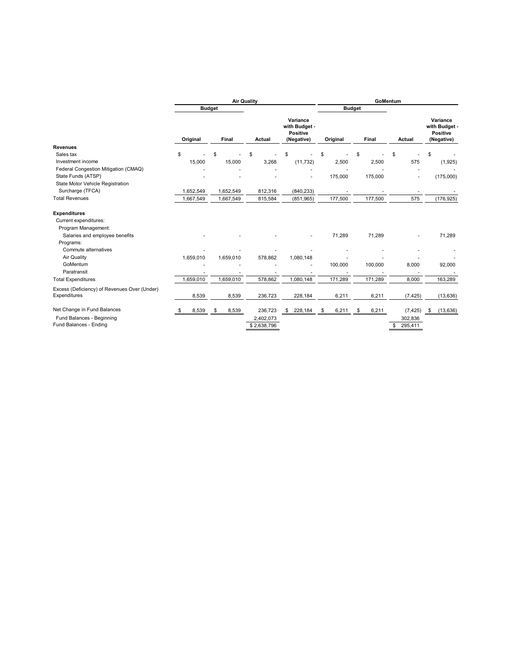|                                              |            |               | <b>Air Quality</b> | GoMentum                                                 |             |               |               |                                                            |  |  |
|----------------------------------------------|------------|---------------|--------------------|----------------------------------------------------------|-------------|---------------|---------------|------------------------------------------------------------|--|--|
|                                              |            | <b>Budget</b> |                    |                                                          |             | <b>Budget</b> |               |                                                            |  |  |
|                                              | Original   | Final         | Actual             | Variance<br>with Budget<br><b>Positive</b><br>(Negative) | Original    | Final         | <b>Actual</b> | Variance<br>with Budget -<br><b>Positive</b><br>(Negative) |  |  |
| Revenues                                     |            |               |                    |                                                          |             |               |               |                                                            |  |  |
| Sales tax                                    | \$         | \$            | \$                 | \$                                                       | \$          | \$            | \$            | \$                                                         |  |  |
| Investment income                            | 15,000     | 15,000        | 3,268              | (11, 732)                                                | 2,500       | 2,500         | 575           | (1, 925)                                                   |  |  |
| Federal Congestion Mitigation (CMAQ)         |            |               |                    |                                                          |             |               |               |                                                            |  |  |
| State Funds (ATSP)                           |            |               |                    |                                                          | 175,000     | 175,000       |               | (175,000)                                                  |  |  |
| State Motor Vehicle Registration             |            |               |                    |                                                          |             |               |               |                                                            |  |  |
| Surcharge (TFCA)                             | 1,652,549  | 1,652,549     | 812,316            | (840, 233)                                               |             |               |               |                                                            |  |  |
| <b>Total Revenues</b>                        | 1,667,549  | 1,667,549     | 815,584            | (851, 965)                                               | 177,500     | 177,500       | 575           | (176, 925)                                                 |  |  |
| <b>Expenditures</b>                          |            |               |                    |                                                          |             |               |               |                                                            |  |  |
| Current expenditures:                        |            |               |                    |                                                          |             |               |               |                                                            |  |  |
| Program Management:                          |            |               |                    |                                                          |             |               |               |                                                            |  |  |
| Salaries and employee benefits               |            |               |                    |                                                          | 71,289      | 71,289        |               | 71,289                                                     |  |  |
| Programs:                                    |            |               |                    |                                                          |             |               |               |                                                            |  |  |
| Commute alternatives                         |            |               |                    |                                                          |             |               |               |                                                            |  |  |
| Air Quality                                  | 1,659,010  | 1,659,010     | 578,862            | 1,080,148                                                |             |               |               |                                                            |  |  |
| GoMentum                                     |            |               |                    |                                                          | 100,000     | 100,000       | 8,000         | 92,000                                                     |  |  |
| Paratransit                                  |            |               |                    |                                                          |             |               |               |                                                            |  |  |
| <b>Total Expenditures</b>                    | 1,659,010  | 1,659,010     | 578,862            | 1,080,148                                                | 171,289     | 171,289       | 8,000         | 163,289                                                    |  |  |
| Excess (Deficiency) of Revenues Over (Under) |            |               |                    |                                                          |             |               |               |                                                            |  |  |
| Expenditures                                 | 8,539      | 8,539         | 236,723            | 228,184                                                  | 6,211       | 6,211         | (7, 425)      | (13, 636)                                                  |  |  |
| Net Change in Fund Balances                  | 8,539<br>S | 8,539<br>\$   | 236,723            | 228,184<br>\$                                            | 6,211<br>\$ | 6,211<br>\$   | (7, 425)      | (13, 636)<br>\$                                            |  |  |
| Fund Balances - Beginning                    |            |               | 2,402,073          |                                                          |             |               | 302,836       |                                                            |  |  |
| Fund Balances - Ending                       |            |               | \$2,638,796        |                                                          |             |               | 295,411<br>\$ |                                                            |  |  |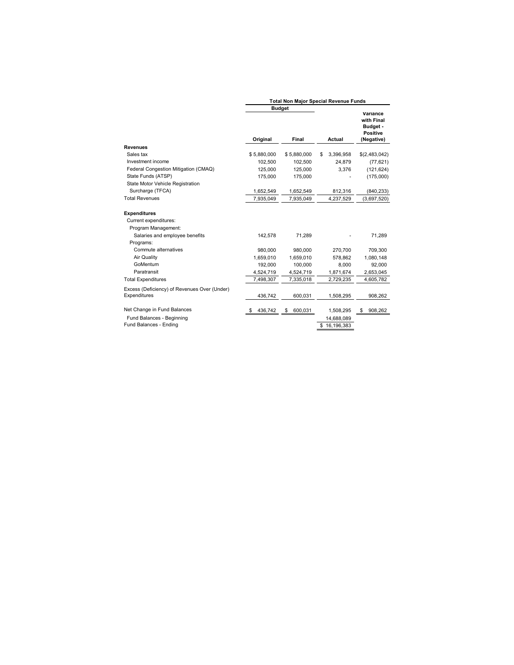|                                                              | <b>Total Non Major Special Revenue Funds</b> |               |                  |                                                                     |  |
|--------------------------------------------------------------|----------------------------------------------|---------------|------------------|---------------------------------------------------------------------|--|
|                                                              |                                              | <b>Budget</b> |                  |                                                                     |  |
|                                                              | Original                                     | Final         | Actual           | Variance<br>with Final<br>Budget -<br><b>Positive</b><br>(Negative) |  |
| Revenues                                                     |                                              |               |                  |                                                                     |  |
| Sales tax                                                    | \$5,880,000                                  | \$5,880,000   | 3,396,958<br>\$  | \$(2,483,042)                                                       |  |
| Investment income                                            | 102.500                                      | 102.500       | 24.879           | (77, 621)                                                           |  |
| Federal Congestion Mitigation (CMAQ)                         | 125,000                                      | 125,000       | 3,376            | (121, 624)                                                          |  |
| State Funds (ATSP)                                           | 175,000                                      | 175,000       |                  | (175,000)                                                           |  |
| State Motor Vehicle Registration                             |                                              |               |                  |                                                                     |  |
| Surcharge (TFCA)                                             | 1,652,549                                    | 1,652,549     | 812,316          | (840, 233)                                                          |  |
| <b>Total Revenues</b>                                        | 7,935,049                                    | 7,935,049     | 4,237,529        | (3,697,520)                                                         |  |
| <b>Expenditures</b><br>Current expenditures:                 |                                              |               |                  |                                                                     |  |
| Program Management:                                          |                                              |               |                  |                                                                     |  |
| Salaries and employee benefits<br>Programs:                  | 142,578                                      | 71,289        |                  | 71,289                                                              |  |
| Commute alternatives                                         | 980.000                                      | 980.000       | 270.700          | 709.300                                                             |  |
| Air Quality                                                  | 1.659.010                                    | 1.659.010     | 578.862          | 1,080,148                                                           |  |
| GoMentum                                                     | 192.000                                      | 100.000       | 8.000            | 92,000                                                              |  |
| Paratransit                                                  | 4,524,719                                    | 4,524,719     | 1,871,674        | 2,653,045                                                           |  |
| <b>Total Expenditures</b>                                    | 7,498,307                                    | 7,335,018     | 2,729,235        | 4,605,782                                                           |  |
| Excess (Deficiency) of Revenues Over (Under)<br>Expenditures | 436,742                                      | 600,031       | 1,508,295        | 908,262                                                             |  |
| Net Change in Fund Balances                                  | 436,742                                      | 600,031<br>\$ | 1,508,295        | \$<br>908,262                                                       |  |
| Fund Balances - Beginning                                    |                                              |               | 14,688,089       |                                                                     |  |
| Fund Balances - Ending                                       |                                              |               | 16,196,383<br>\$ |                                                                     |  |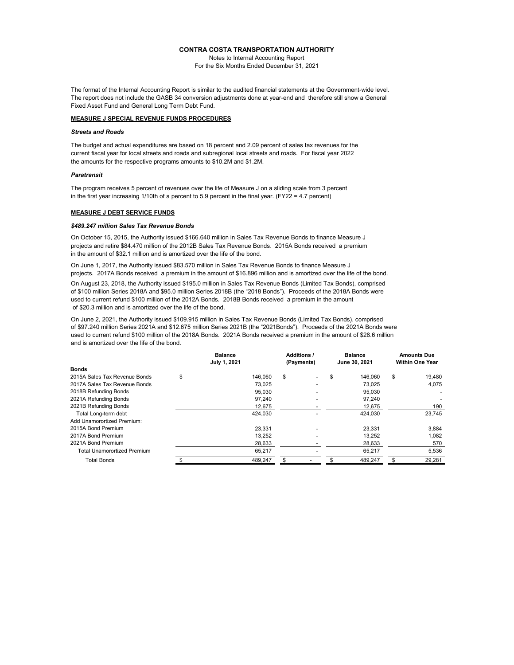Notes to Internal Accounting Report

For the Six Months Ended December 31, 2021

The format of the Internal Accounting Report is similar to the audited financial statements at the Government-wide level. The report does not include the GASB 34 conversion adjustments done at year-end and therefore still show a General Fixed Asset Fund and General Long Term Debt Fund.

#### **MEASURE J SPECIAL REVENUE FUNDS PROCEDURES**

#### *Streets and Roads*

The budget and actual expenditures are based on 18 percent and 2.09 percent of sales tax revenues for the current fiscal year for local streets and roads and subregional local streets and roads. For fiscal year 2022 the amounts for the respective programs amounts to \$10.2M and \$1.2M.

#### *Paratransit*

The program receives 5 percent of revenues over the life of Measure J on a sliding scale from 3 percent in the first year increasing 1/10th of a percent to 5.9 percent in the final year. (FY22 = 4.7 percent)

#### **MEASURE J DEBT SERVICE FUNDS**

#### *\$489.247 million Sales Tax Revenue Bonds*

On October 15, 2015, the Authority issued \$166.640 million in Sales Tax Revenue Bonds to finance Measure J projects and retire \$84.470 million of the 2012B Sales Tax Revenue Bonds. 2015A Bonds received a premium in the amount of \$32.1 million and is amortized over the life of the bond.

On June 1, 2017, the Authority issued \$83.570 million in Sales Tax Revenue Bonds to finance Measure J projects. 2017A Bonds received a premium in the amount of \$16.896 million and is amortized over the life of the bond.

On August 23, 2018, the Authority issued \$195.0 million in Sales Tax Revenue Bonds (Limited Tax Bonds), comprised of \$100 million Series 2018A and \$95.0 million Series 2018B (the "2018 Bonds"). Proceeds of the 2018A Bonds were used to current refund \$100 million of the 2012A Bonds. 2018B Bonds received a premium in the amount of \$20.3 million and is amortized over the life of the bond.

On June 2, 2021, the Authority issued \$109.915 million in Sales Tax Revenue Bonds (Limited Tax Bonds), comprised of \$97.240 million Series 2021A and \$12.675 million Series 2021B (the "2021Bonds"). Proceeds of the 2021A Bonds were used to current refund \$100 million of the 2018A Bonds. 2021A Bonds received a premium in the amount of \$28.6 million and is amortized over the life of the bond.

|                                    |    | <b>Balance</b><br>July 1, 2021 |    | <b>Additions /</b><br>(Payments) |    | <b>Balance</b><br>June 30, 2021 |    | <b>Amounts Due</b><br><b>Within One Year</b> |  |
|------------------------------------|----|--------------------------------|----|----------------------------------|----|---------------------------------|----|----------------------------------------------|--|
| <b>Bonds</b>                       |    |                                |    |                                  |    |                                 |    |                                              |  |
| 2015A Sales Tax Revenue Bonds      | \$ | 146,060                        | \$ |                                  | \$ | 146.060                         | \$ | 19,480                                       |  |
| 2017A Sales Tax Revenue Bonds      |    | 73.025                         |    |                                  |    | 73.025                          |    | 4,075                                        |  |
| 2018B Refunding Bonds              |    | 95.030                         |    |                                  |    | 95.030                          |    |                                              |  |
| 2021A Refunding Bonds              |    | 97,240                         |    |                                  |    | 97,240                          |    |                                              |  |
| 2021B Refunding Bonds              |    | 12,675                         |    |                                  |    | 12,675                          |    | 190                                          |  |
| Total Long-term debt               |    | 424,030                        |    |                                  |    | 424,030                         |    | 23,745                                       |  |
| Add Unamorortized Premium:         |    |                                |    |                                  |    |                                 |    |                                              |  |
| 2015A Bond Premium                 |    | 23.331                         |    |                                  |    | 23.331                          |    | 3,884                                        |  |
| 2017A Bond Premium                 |    | 13.252                         |    |                                  |    | 13.252                          |    | 1,082                                        |  |
| 2021A Bond Premium                 |    | 28,633                         |    |                                  |    | 28,633                          |    | 570                                          |  |
| <b>Total Unamorortized Premium</b> |    | 65.217                         |    |                                  |    | 65.217                          |    | 5,536                                        |  |
| <b>Total Bonds</b>                 |    | 489,247                        |    |                                  |    | 489,247                         |    | 29,281                                       |  |